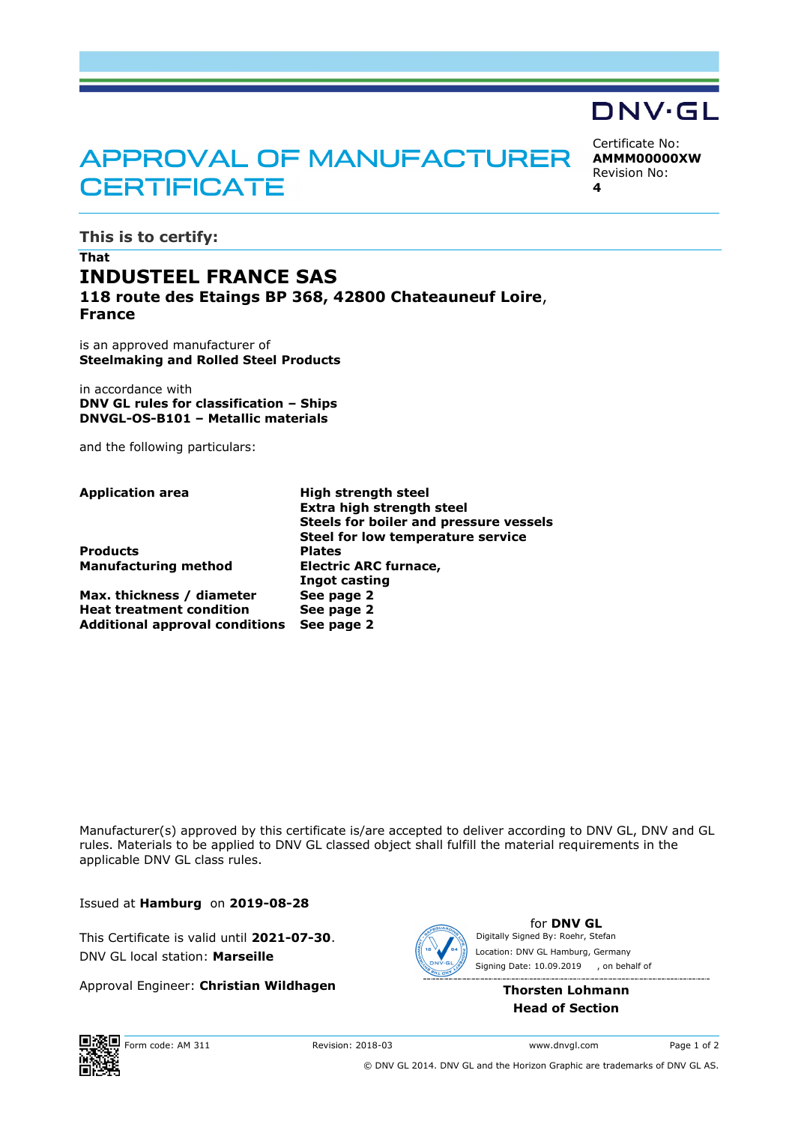# **APPROVAL OF MANUFACTURER CERTIFICATE**

Certificate No: **AMMM00000XW** Revision No:

DNV·GL

**4**

## **This is to certify:**

# **That INDUSTEEL FRANCE SAS 118 route des Etaings BP 368, 42800 Chateauneuf Loire**, **France**

is an approved manufacturer of **Steelmaking and Rolled Steel Products**

in accordance with **DNV GL rules for classification – Ships DNVGL-OS-B101 – Metallic materials**

and the following particulars:

**Application area High strength steel Extra high strength steel Steels for boiler and pressure vessels Steel for low temperature service Products Plates Manufacturing method Electric ARC furnace, Ingot casting Max. thickness / diameter See page 2 Heat treatment condition See page 2 Additional approval conditions See page 2**

Manufacturer(s) approved by this certificate is/are accepted to deliver according to DNV GL, DNV and GL rules. Materials to be applied to DNV GL classed object shall fulfill the material requirements in the applicable DNV GL class rules.

Issued at **Hamburg** on **2019-08-28**

This Certificate is valid until **2021-07-30**. DNV GL local station: **Marseille**

Approval Engineer: **Christian Wildhagen**



for **DNV GL** Signing Date: 10.09.2019 Digitally Signed By: Roehr, Stefan Location: DNV GL Hamburg, Germany , on behalf of

> **Thorsten Lohmann Head of Section**



© DNV GL 2014. DNV GL and the Horizon Graphic are trademarks of DNV GL AS.